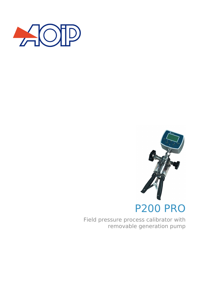



Field pressure process calibrator with removable generation pump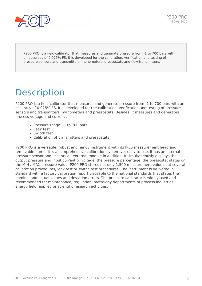

P200 PRO is a field calibrator that measures and generate pressure from -1 to 700 bars with an accuracy of 0.025% FS. It is developed for the calibration, verification and testing of pressure sensors and transmitters, manometers, pressostats and flow transmitters[.](https://www.aoip.fr/wp-content/uploads/2013/11/calys80-module.jpg)

## **Description**

P200 PRO is a field calibrator that measures and generate pressure from -1 to 700 bars with an accuracy of 0.025% FS. It is developed for the calibration, verification and testing of pressure sensors and transmitters, manometers and pressostats. Besides, it measures and generates process voltage and current .

- Pressure range: -1 to 700 bars
- Leak test
- Switch test
- Calibration of transmitters and pressostats

P200 PRO is a versatile, robust and handy instrument with its IP65 measurement head and removable pump. It is a comprehensive calibration system yet easy-to-use. It has an internal pressure sensor and accepts an external module in addition. It simultaneously displays the output pressure and input current or voltage, the pressure percentage, the pressostat status or the MIN / MAX pressure value. P200 PRO stores not only 1,500 measurement values but several calibration procedures, leak test or switch test procedures. The instrument is delivered in standard with a factory calibration report traceable to the national standards that states the nominal and actual values and deviation errors. The pressure calibrator is widely used and recommended for maintenance, regulation, metrology departments of process industries, energy field, applied or scientific research activities.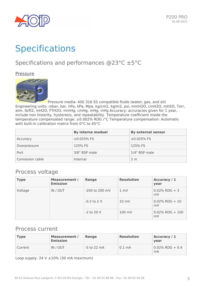

# **Specifications**

### Specifications and performances @23°C ±5°C

Pressure



Pressure media: AISI 316 SS compatible fluids (water, gas, and oil) Engineering units: mbar, bar, hPa, kPa, Mpa, kg/cm2, kg/m2, psi, mmH2O, cmH2O, mH2O, Torr, atm, lb/ft2, inH2O, FTH2O, mmHg, cmHg, mHg, inHg Accuracy: accuracies given for 1 year, include non linearity, hysteresis, and repeatability. Temperature coefficient inside the temperature compensated range: ±0.002% RDG /°C Temperature compensation: Automatic with built-in calibration matrix from 0°C to 45°C

|                 | <b>By interne moduel</b> | <b>By external sensor</b> |
|-----------------|--------------------------|---------------------------|
| Accuracy        | $±0.025%$ FS             | $±0.025%$ FS              |
| Overpressure    | 125% FS                  | 125% FS                   |
| Port            | 3/8" BSP male            | 1/4" BSP male             |
| Connexion cable | Internal                 | 2 <sub>m</sub>            |

### Process voltage

| <b>Type</b> | <b>Measurement /</b><br><b>Emission</b> | Range          | <b>Resolution</b> | Accuracy / 1<br>year     |
|-------------|-----------------------------------------|----------------|-------------------|--------------------------|
| Voltage     | IN / OUT                                | -200 to 200 mV | $1 \text{ mV}$    | $0.02\%$ RDG + 3<br>mV   |
|             |                                         | $-0.2$ to 2 V  | $10 \text{ mV}$   | $0.02\%$ RDG + 10<br>mV  |
|             |                                         | $-2$ to 20 V   | $100$ mV          | $0.02\%$ RDG + 100<br>mV |

### Process current

| <b>Type</b> | <b>Measurement</b> /<br><b>Emission</b> | Range         | <b>Resolution</b> | Accuracy / 1<br>vear     |
|-------------|-----------------------------------------|---------------|-------------------|--------------------------|
| Current     | IN / OUT                                | $-5$ to 22 mA | $0.1 \text{ mA}$  | $0.02\%$ RDG + 0.4<br>mA |

Loop supply:  $24 V ± 10%$  (30 mA maximum)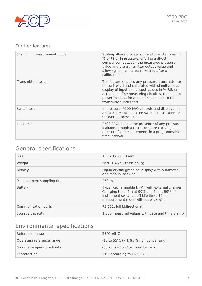

### Further features

| Scaling in measurement mode | Scaling allows process signals to be displayed in<br>% of FS or in pressure, offering a direct<br>comparison between the measured pressure<br>value and the transmitter output value and<br>allowing sensors to be corrected after a<br>calibration.                                      |
|-----------------------------|-------------------------------------------------------------------------------------------------------------------------------------------------------------------------------------------------------------------------------------------------------------------------------------------|
| <b>Transmitters tests</b>   | The feature enables any pressure transmitter to<br>be controlled and calibrated with simultaneous<br>display of input and output values in % F.S. or in<br>actual unit. The measuring circuit is also able to<br>power the loop for a direct connection to the<br>transmitter under test. |
| Switch test                 | In pressure, P200 PRO controls and displays the<br>applied pressure and the switch status OPEN or<br>CLOSED of pressostats.                                                                                                                                                               |
| Leak test                   | P200 PRO detects the presence of any pressure<br>leakage through a test procedure carrying out<br>pressure fall measurements in a programmable<br>time interval.                                                                                                                          |

## General specifications

| <b>Size</b>               | $130 \times 120 \times 70$ mm                                                                                                                                                      |
|---------------------------|------------------------------------------------------------------------------------------------------------------------------------------------------------------------------------|
| Weight                    | Nett: 1.4 kg Gross: 2.5 kg                                                                                                                                                         |
| <b>Display</b>            | Liquid crystal graphical display with automatic<br>and manual backlite                                                                                                             |
| Measurement sampling time | 250 ms                                                                                                                                                                             |
| <b>Battery</b>            | Type: Rechargeable Ni-Mh with external charger<br>Charging time: 5 h at 90% and 6 h at 99%, if<br>instrument switched off Life time: 10 h in<br>measurement mode without backlight |
| Communication ports       | RS 232, full bidirectional                                                                                                                                                         |
| Storage capacity          | 1,500 measured values with date and time stamp                                                                                                                                     |

### Environmental specifications

| Reference range            | $23^{\circ}$ C $\pm 5^{\circ}$ C      |
|----------------------------|---------------------------------------|
| Operating reference range  | -10 to 55°C (RH: 95 % non condensing) |
| Storage temperature limits | -30°C to +60°C (without battery)      |
| IP protection              | IP65 according to EN60529             |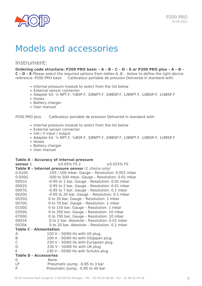

## Models and accessories

### Instrument:

**Ordering code structure: P200 PRO basic – A – B – C – D – E or P200 PRO plus – A – B – C – D – E** *Please select the required options from tables A, B… below to define the right device reference.* P200 PRO basic Calibrateur portable de pression Delivered in standard with:

- Internal pressure module to select from the list below
- External sensor connector
- Adapter kit: ½ NPT.F, ½BSP.F, 3/8NPT.F, 3/8BSP.F, 1/8NPT.F, 1/8BSP.F, 1/4BSP.F
- Hoses
- Battery charger
- User manual

P200 PRO plus Calibrateur portable de pression Delivered in standard with:

- Internal pressure module to select from the list below
- External sensor connector
- mA / V input / output
- Adapter kit: ½ NPT.F, ½BSP.F, 3/8NPT.F, 3/8BSP.F, 1/8NPT.F, 1/8BSP.F, 1/4BSP.F
- Hoses
- Battery charger
- User manual

#### **Table A – Accuracy of internal pressure**

| sensor 1                                           | $\pm 0.05\%$ FS 2                               | $±0.025%$ FS |  |
|----------------------------------------------------|-------------------------------------------------|--------------|--|
| Table B - Internal pressure sensor (1 choice only) |                                                 |              |  |
| 0.010G                                             | -100 / 100 mbar, Gauge - Resolution: 0.001 mbar |              |  |
| 0.050G                                             | -500 to 500 mbar, Gauge - Resolution: 0.01 mbar |              |  |
| 0001G                                              | -0.95 to 1 bar, Gauge - Resolution: 0.01 mbar   |              |  |
| 0002G                                              | -0.95 to 2 bar, Gauge – Resolution: 0.01 mbar   |              |  |
| 0007G                                              | -0.95 to 7 bar, Gauge - Resolution. 0.1 mbar    |              |  |
| 0020G                                              | -0.95 to 20 bar, Gauge - Resolution. 0.1 mbar   |              |  |
| 0035G                                              | 0 to 35 bar, Gauge - Resolution: 1 mbar         |              |  |
| 0070G                                              | 0 to 70 bar, Gauge - Resolution: 1 mbar         |              |  |
| 0150G                                              | 0 to 150 bar, Gauge - Resolution. 1 mbar        |              |  |
| 0350G                                              | 0 to 350 bar, Gauge - Resolution. 10 mbar       |              |  |
| 0700G                                              | 0 to 700 bar, Gauge - Resolution: 10 mbar       |              |  |
| 0002A                                              | 0 to 2 bar, Absolute - Resolution: 0.01 mbar    |              |  |
| 0020A                                              | 0 to 20 bar, Absolute - Resolution. 0.1 mbar    |              |  |
| <b>Table C - Alimentation</b>                      |                                                 |              |  |
| A                                                  | 120 V - 50/60 Hz with US plug                   |              |  |
| Β                                                  | 100 V - 50/60 Hz with US/Japan plug             |              |  |
| C                                                  | 230 V - 50/60 Hz with European plug             |              |  |
| D                                                  | 230 V - 50/60 Hz with UK plug                   |              |  |
| E                                                  | 230 V - 50/60 Hz with Schuko plug               |              |  |
| <b>Table D - Accessories</b>                       |                                                 |              |  |
| 0                                                  | <b>None</b>                                     |              |  |
| LP                                                 | Pneumatic pump, -0.85 to 3 bar                  |              |  |
| P                                                  | Pneumatic pump, -0.95 to 40 bar                 |              |  |